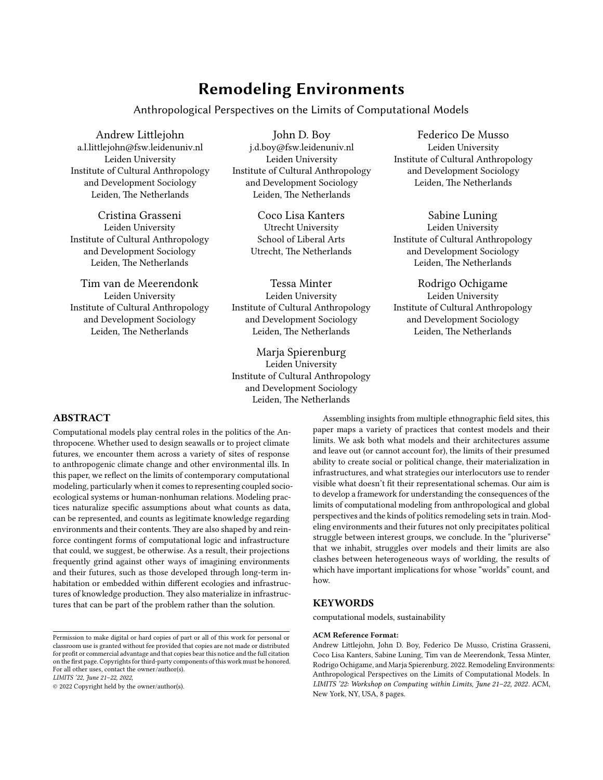# **Remodeling Environments**

Anthropological Perspectives on the Limits of Computational Models

Andrew Littlejohn a.l.littlejohn@fsw.leidenuniv.nl Leiden University Institute of Cultural Anthropology and Development Sociology Leiden, The Netherlands

Cristina Grasseni Leiden University Institute of Cultural Anthropology and Development Sociology Leiden, The Netherlands

Tim van de Meerendonk Leiden University Institute of Cultural Anthropology and Development Sociology Leiden, The Netherlands

John D. Boy j.d.boy@fsw.leidenuniv.nl Leiden University Institute of Cultural Anthropology and Development Sociology Leiden, The Netherlands

> Coco Lisa Kanters Utrecht University School of Liberal Arts Utrecht, The Netherlands

Tessa Minter Leiden University Institute of Cultural Anthropology and Development Sociology Leiden, The Netherlands

Marja Spierenburg Leiden University Institute of Cultural Anthropology and Development Sociology Leiden, The Netherlands

Federico De Musso Leiden University Institute of Cultural Anthropology and Development Sociology Leiden, The Netherlands

Sabine Luning Leiden University Institute of Cultural Anthropology and Development Sociology Leiden, The Netherlands

Rodrigo Ochigame Leiden University Institute of Cultural Anthropology and Development Sociology Leiden, The Netherlands

## **ABSTRACT**

Computational models play central roles in the politics of the Anthropocene. Whether used to design seawalls or to project climate futures, we encounter them across a variety of sites of response to anthropogenic climate change and other environmental ills. In this paper, we reflect on the limits of contemporary computational modeling, particularly when it comes to representing coupled socioecological systems or human-nonhuman relations. Modeling practices naturalize specific assumptions about what counts as data, can be represented, and counts as legitimate knowledge regarding environments and their contents. They are also shaped by and reinforce contingent forms of computational logic and infrastructure that could, we suggest, be otherwise. As a result, their projections frequently grind against other ways of imagining environments and their futures, such as those developed through long-term inhabitation or embedded within different ecologies and infrastructures of knowledge production. They also materialize in infrastructures that can be part of the problem rather than the solution.

Permission to make digital or hard copies of part or all of this work for personal or classroom use is granted without fee provided that copies are not made or distributed for profit or commercial advantage and that copies bear this notice and the full citation on the first page. Copyrights for third-party components of this work must be honored. For all other uses, contact the owner/author(s).

*LIMITS '22, June 21–22, 2022,*

© 2022 Copyright held by the owner/author(s).

Assembling insights from multiple ethnographic field sites, this paper maps a variety of practices that contest models and their limits. We ask both what models and their architectures assume and leave out (or cannot account for), the limits of their presumed ability to create social or political change, their materialization in infrastructures, and what strategies our interlocutors use to render visible what doesn't fit their representational schemas. Our aim is to develop a framework for understanding the consequences of the limits of computational modeling from anthropological and global perspectives and the kinds of politics remodeling sets in train. Modeling environments and their futures not only precipitates political struggle between interest groups, we conclude. In the "pluriverse" that we inhabit, struggles over models and their limits are also clashes between heterogeneous ways of worlding, the results of which have important implications for whose "worlds" count, and how.

## **KEYWORDS**

computational models, sustainability

#### **ACM Reference Format:**

Andrew Littlejohn, John D. Boy, Federico De Musso, Cristina Grasseni, Coco Lisa Kanters, Sabine Luning, Tim van de Meerendonk, Tessa Minter, Rodrigo Ochigame, and Marja Spierenburg. 2022. Remodeling Environments: Anthropological Perspectives on the Limits of Computational Models. In *LIMITS '22: Workshop on Computing within Limits, June 21–22, 2022.* ACM, New York, NY, USA, [8](#page-7-0) pages.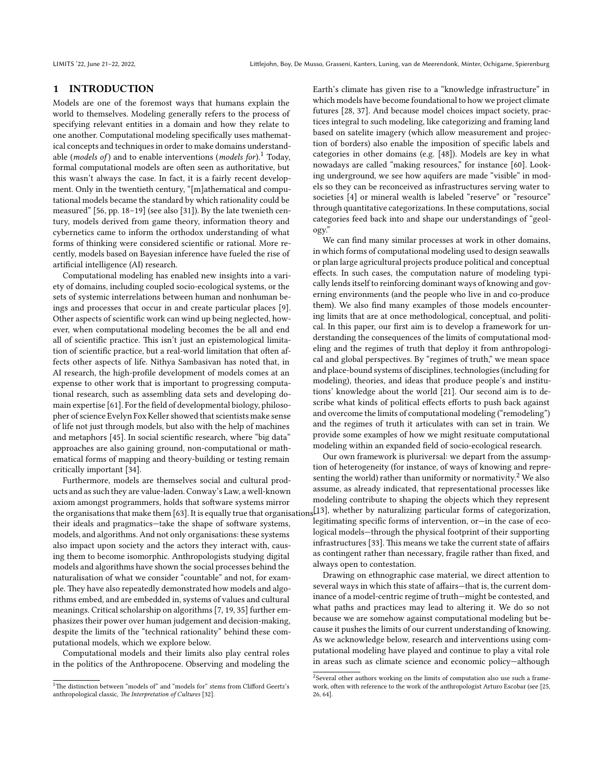#### **1 INTRODUCTION**

Models are one of the foremost ways that humans explain the world to themselves. Modeling generally refers to the process of specifying relevant entities in a domain and how they relate to one another. Computational modeling specifically uses mathematical concepts and techniques in order to make domains understandable (*models of* ) and to enable interventions (*models for*).[1](#page-1-0) Today, formal computational models are often seen as authoritative, but this wasn't always the case. In fact, it is a fairly recent development. Only in the twentieth century, "[m]athematical and computational models became the standard by which rationality could be measured"[[56](#page-6-0), pp. 18–19] (see also [\[31](#page-6-1)]). By the late twenieth century, models derived from game theory, information theory and cybernetics came to inform the orthodox understanding of what forms of thinking were considered scientific or rational. More recently, models based on Bayesian inference have fueled the rise of artificial intelligence (AI) research.

Computational modeling has enabled new insights into a variety of domains, including coupled socio-ecological systems, or the sets of systemic interrelations between human and nonhuman beings and processes that occur in and create particular places [\[9](#page-6-2)]. Other aspects of scientific work can wind up being neglected, however, when computational modeling becomes the be all and end all of scientific practice. This isn't just an epistemological limitation of scientific practice, but a real-world limitation that often affects other aspects of life. Nithya Sambasivan has noted that, in AI research, the high-profile development of models comes at an expense to other work that is important to progressing computational research, such as assembling data sets and developing domain expertise[[61](#page-6-3)]. For the field of developmental biology, philosopher of science Evelyn Fox Keller showed that scientists make sense of life not just through models, but also with the help of machines and metaphors [\[45\]](#page-6-4). In social scientific research, where "big data" approaches are also gaining ground, non-computational or mathematical forms of mapping and theory-building or testing remain critically important [\[34\]](#page-6-5).

Furthermore, models are themselves social and cultural products and as such they are value-laden. Conway's Law, a well-known axiom amongst programmers, holds that software systems mirror theorganisations that make them [[63](#page-6-6)]. It is equally true that organisations<sup>[\[13](#page-6-16)]</sup>, whether by naturalizing particular forms of categorization, their ideals and pragmatics—take the shape of software systems, models, and algorithms. And not only organisations: these systems also impact upon society and the actors they interact with, causing them to become isomorphic. Anthropologists studying digital models and algorithms have shown the social processes behind the naturalisation of what we consider "countable" and not, for example. They have also repeatedly demonstrated how models and algorithms embed, and are embedded in, systems of values and cultural meanings. Critical scholarship on algorithms[[7,](#page-6-7) [19,](#page-6-8) [35\]](#page-6-9) further emphasizes their power over human judgement and decision-making, despite the limits of the "technical rationality" behind these computational models, which we explore below.

Computational models and their limits also play central roles in the politics of the Anthropocene. Observing and modeling the Earth's climate has given rise to a "knowledge infrastructure" in which models have become foundational to how we project climate futures[[28](#page-6-11), [37\]](#page-6-12). And because model choices impact society, practices integral to such modeling, like categorizing and framing land based on satelite imagery (which allow measurement and projection of borders) also enable the imposition of specific labels and categories in other domains (e.g. [\[48](#page-6-13)]). Models are key in what nowadays are called "making resources," for instance[[60](#page-6-14)]. Looking underground, we see how aquifers are made "visible" in models so they can be reconceived as infrastructures serving water to societies [\[4\]](#page-5-0) or mineral wealth is labeled "reserve" or "resource" through quantitative categorizations. In these computations, social categories feed back into and shape our understandings of "geology."

We can find many similar processes at work in other domains, in which forms of computational modeling used to design seawalls or plan large agricultural projects produce political and conceptual effects. In such cases, the computation nature of modeling typically lends itself to reinforcing dominant ways of knowing and governing environments (and the people who live in and co-produce them). We also find many examples of those models encountering limits that are at once methodological, conceptual, and political. In this paper, our first aim is to develop a framework for understanding the consequences of the limits of computational modeling and the regimes of truth that deploy it from anthropological and global perspectives. By "regimes of truth," we mean space and place-bound systems of disciplines, technologies (including for modeling), theories, and ideas that produce people's and institutions' knowledge about the world [\[21\]](#page-6-15). Our second aim is to describe what kinds of political effects efforts to push back against and overcome the limits of computational modeling ("remodeling") and the regimes of truth it articulates with can set in train. We provide some examples of how we might resituate computational modeling within an expanded field of socio-ecological research.

Our own framework is pluriversal: we depart from the assumption of heterogeneity (for instance, of ways of knowing and repre-senting the world) rather than uniformity or normativity.<sup>[2](#page-1-1)</sup> We also assume, as already indicated, that representational processes like modeling contribute to shaping the objects which they represent legitimating specific forms of intervention, or—in the case of ecological models—through the physical footprint of their supporting infrastructures [\[33](#page-6-17)]. This means we take the current state of affairs as contingent rather than necessary, fragile rather than fixed, and always open to contestation.

Drawing on ethnographic case material, we direct attention to several ways in which this state of affairs—that is, the current dominance of a model-centric regime of truth—might be contested, and what paths and practices may lead to altering it. We do so not because we are somehow against computational modeling but because it pushes the limits of our current understanding of knowing. As we acknowledge below, research and interventions using computational modeling have played and continue to play a vital role in areas such as climate science and economic policy—although

<span id="page-1-0"></span> $^{1}$  The distinction between "models of" and "models for" stems from Clifford Geertz's anthropological classic, *The Interpretation of Cultures* [[32](#page-6-10)].

<span id="page-1-1"></span><sup>&</sup>lt;sup>2</sup>Several other authors working on the limits of computation also use such a framework, often with reference to the work of the anthropologist Arturo Escobar (see[[25](#page-6-18), [26](#page-6-19), [64](#page-7-1)].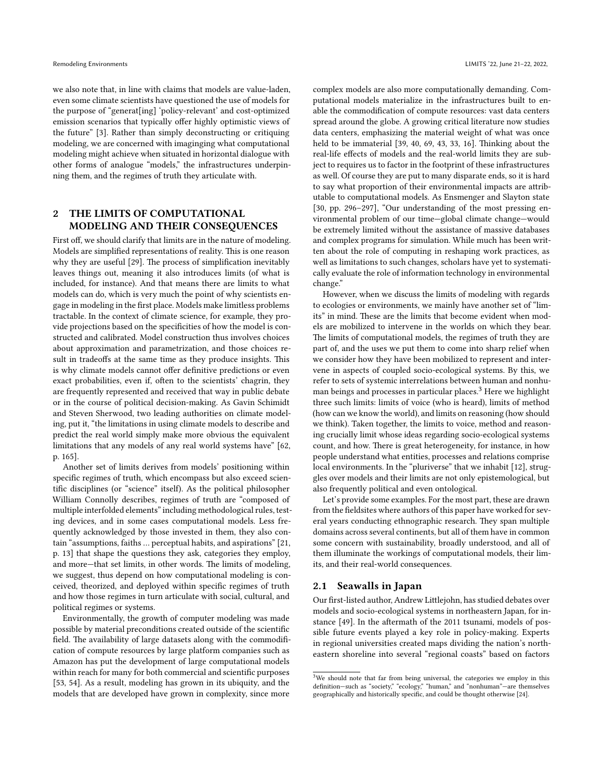we also note that, in line with claims that models are value-laden, even some climate scientists have questioned the use of models for the purpose of "generat[ing] 'policy-relevant' and cost-optimized emission scenarios that typically offer highly optimistic views of the future"[[3\]](#page-5-1). Rather than simply deconstructing or critiquing modeling, we are concerned with imaginging what computational modeling might achieve when situated in horizontal dialogue with other forms of analogue "models," the infrastructures underpinning them, and the regimes of truth they articulate with.

# **2 THE LIMITS OF COMPUTATIONAL MODELING AND THEIR CONSEQUENCES**

First off, we should clarify that limits are in the nature of modeling. Models are simplified representations of reality. This is one reason why they are useful [\[29](#page-6-20)]. The process of simplification inevitably leaves things out, meaning it also introduces limits (of what is included, for instance). And that means there are limits to what models can do, which is very much the point of why scientists engage in modeling in the first place. Models make limitless problems tractable. In the context of climate science, for example, they provide projections based on the specificities of how the model is constructed and calibrated. Model construction thus involves choices about approximation and parametrization, and those choices result in tradeoffs at the same time as they produce insights. This is why climate models cannot offer definitive predictions or even exact probabilities, even if, often to the scientists' chagrin, they are frequently represented and received that way in public debate or in the course of political decision-making. As Gavin Schimidt and Steven Sherwood, two leading authorities on climate modeling, put it, "the limitations in using climate models to describe and predict the real world simply make more obvious the equivalent limitations that any models of any real world systems have"[[62](#page-6-21), p. 165].

Another set of limits derives from models' positioning within specific regimes of truth, which encompass but also exceed scientific disciplines (or "science" itself). As the political philosopher William Connolly describes, regimes of truth are "composed of multiple interfolded elements" including methodological rules, testing devices, and in some cases computational models. Less frequently acknowledged by those invested in them, they also contain "assumptions, faiths … perceptual habits, and aspirations"[[21](#page-6-15), p. 13] that shape the questions they ask, categories they employ, and more—that set limits, in other words. The limits of modeling, we suggest, thus depend on how computational modeling is conceived, theorized, and deployed within specific regimes of truth and how those regimes in turn articulate with social, cultural, and political regimes or systems.

Environmentally, the growth of computer modeling was made possible by material preconditions created outside of the scientific field. The availability of large datasets along with the commodification of compute resources by large platform companies such as Amazon has put the development of large computational models within reach for many for both commercial and scientific purposes [[53](#page-6-22), [54](#page-6-23)]. As a result, modeling has grown in its ubiquity, and the models that are developed have grown in complexity, since more

complex models are also more computationally demanding. Computational models materialize in the infrastructures built to enable the commodification of compute resources: vast data centers spread around the globe. A growing critical literature now studies data centers, emphasizing the material weight of what was once held to be immaterial [\[39,](#page-6-24) [40,](#page-6-25) [69](#page-7-2), [43](#page-6-26), [33,](#page-6-17) [16\]](#page-6-27). Thinking about the real-life effects of models and the real-world limits they are subject to requires us to factor in the footprint of these infrastructures as well. Of course they are put to many disparate ends, so it is hard to say what proportion of their environmental impacts are attributable to computational models. As Ensmenger and Slayton state [\[30](#page-6-28), pp. 296–297], "Our understanding of the most pressing environmental problem of our time—global climate change—would be extremely limited without the assistance of massive databases and complex programs for simulation. While much has been written about the role of computing in reshaping work practices, as well as limitations to such changes, scholars have yet to systematically evaluate the role of information technology in environmental change."

However, when we discuss the limits of modeling with regards to ecologies or environments, we mainly have another set of "limits" in mind. These are the limits that become evident when models are mobilized to intervene in the worlds on which they bear. The limits of computational models, the regimes of truth they are part of, and the uses we put them to come into sharp relief when we consider how they have been mobilized to represent and intervene in aspects of coupled socio-ecological systems. By this, we refer to sets of systemic interrelations between human and nonhu-man beings and processes in particular places.<sup>[3](#page-2-0)</sup> Here we highlight three such limits: limits of voice (who is heard), limits of method (how can we know the world), and limits on reasoning (how should we think). Taken together, the limits to voice, method and reasoning crucially limit whose ideas regarding socio-ecological systems count, and how. There is great heterogeneity, for instance, in how people understand what entities, processes and relations comprise local environments. In the "pluriverse" that we inhabit [\[12](#page-6-29)], struggles over models and their limits are not only epistemological, but also frequently political and even ontological.

Let's provide some examples. For the most part, these are drawn from the fieldsites where authors of this paper have worked for several years conducting ethnographic research. They span multiple domains across several continents, but all of them have in common some concern with sustainability, broadly understood, and all of them illuminate the workings of computational models, their limits, and their real-world consequences.

#### **2.1 Seawalls in Japan**

Our first-listed author, Andrew Littlejohn, has studied debates over models and socio-ecological systems in northeastern Japan, for instance [\[49](#page-6-30)]. In the aftermath of the 2011 tsunami, models of possible future events played a key role in policy-making. Experts in regional universities created maps dividing the nation's northeastern shoreline into several "regional coasts" based on factors

<span id="page-2-0"></span><sup>&</sup>lt;sup>3</sup>We should note that far from being universal, the categories we employ in this definition—such as "society," "ecology," "human," and "nonhuman"—are themselves geographically and historically specific, and could be thought otherwise [\[24\]](#page-6-31).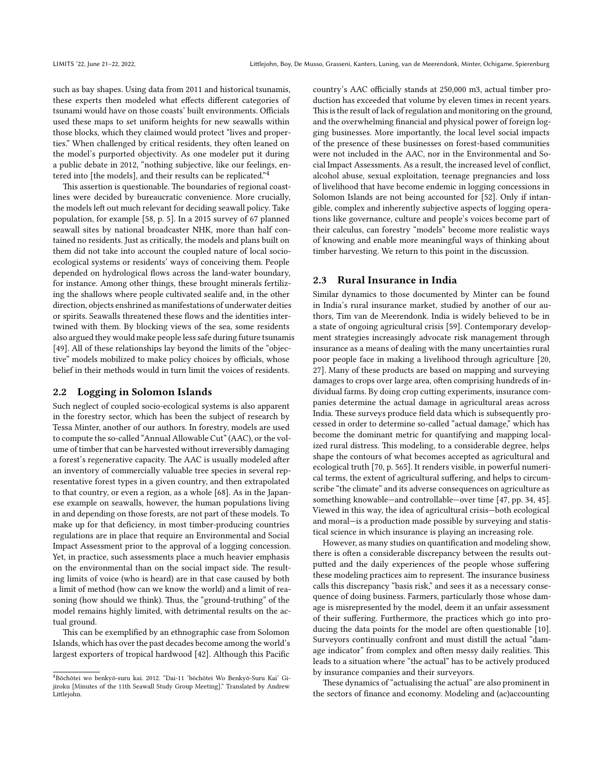such as bay shapes. Using data from 2011 and historical tsunamis, these experts then modeled what effects different categories of tsunami would have on those coasts' built environments. Officials used these maps to set uniform heights for new seawalls within those blocks, which they claimed would protect "lives and properties." When challenged by critical residents, they often leaned on the model's purported objectivity. As one modeler put it during a public debate in 2012, "nothing subjective, like our feelings, entered into [the models], and their results can be replicated."[4](#page-3-0)

This assertion is questionable. The boundaries of regional coastlines were decided by bureaucratic convenience. More crucially, the models left out much relevant for deciding seawall policy. Take population, for example [\[58,](#page-6-32) p. 5]. In a 2015 survey of 67 planned seawall sites by national broadcaster NHK, more than half contained no residents. Just as critically, the models and plans built on them did not take into account the coupled nature of local socioecological systems or residents' ways of conceiving them. People depended on hydrological flows across the land-water boundary, for instance. Among other things, these brought minerals fertilizing the shallows where people cultivated sealife and, in the other direction, objects enshrined as manifestations of underwater deities or spirits. Seawalls threatened these flows and the identities intertwined with them. By blocking views of the sea, some residents also argued they would make people less safe during future tsunamis [[49](#page-6-30)]. All of these relationships lay beyond the limits of the "objective" models mobilized to make policy choices by officials, whose belief in their methods would in turn limit the voices of residents.

#### **2.2 Logging in Solomon Islands**

Such neglect of coupled socio-ecological systems is also apparent in the forestry sector, which has been the subject of research by Tessa Minter, another of our authors. In forestry, models are used to compute the so-called "Annual Allowable Cut" (AAC), or the volume of timber that can be harvested without irreversibly damaging a forest's regenerative capacity. The AAC is usually modeled after an inventory of commercially valuable tree species in several representative forest types in a given country, and then extrapolated to that country, or even a region, as a whole[[68](#page-7-3)]. As in the Japanese example on seawalls, however, the human populations living in and depending on those forests, are not part of these models. To make up for that deficiency, in most timber-producing countries regulations are in place that require an Environmental and Social Impact Assessment prior to the approval of a logging concession. Yet, in practice, such assessments place a much heavier emphasis on the environmental than on the social impact side. The resulting limits of voice (who is heard) are in that case caused by both a limit of method (how can we know the world) and a limit of reasoning (how should we think). Thus, the "ground-truthing" of the model remains highly limited, with detrimental results on the actual ground.

This can be exemplified by an ethnographic case from Solomon Islands, which has over the past decades become among the world's largest exporters of tropical hardwood[[42](#page-6-33)]. Although this Pacific

country's AAC officially stands at 250,000 m3, actual timber production has exceeded that volume by eleven times in recent years. This is the result of lack of regulation and monitoring on the ground, and the overwhelming financial and physical power of foreign logging businesses. More importantly, the local level social impacts of the presence of these businesses on forest-based communities were not included in the AAC, nor in the Environmental and Social Impact Assessments. As a result, the increased level of conflict, alcohol abuse, sexual exploitation, teenage pregnancies and loss of livelihood that have become endemic in logging concessions in Solomon Islands are not being accounted for[[52](#page-6-34)]. Only if intangible, complex and inherently subjective aspects of logging operations like governance, culture and people's voices become part of their calculus, can forestry "models" become more realistic ways of knowing and enable more meaningful ways of thinking about timber harvesting. We return to this point in the discussion.

#### **2.3 Rural Insurance in India**

Similar dynamics to those documented by Minter can be found in India's rural insurance market, studied by another of our authors, Tim van de Meerendonk. India is widely believed to be in a state of ongoing agricultural crisis [\[59](#page-6-35)]. Contemporary development strategies increasingly advocate risk management through insurance as a means of dealing with the many uncertainties rural poor people face in making a livelihood through agriculture[[20](#page-6-36), [27](#page-6-37)]. Many of these products are based on mapping and surveying damages to crops over large area, often comprising hundreds of individual farms. By doing crop cutting experiments, insurance companies determine the actual damage in agricultural areas across India. These surveys produce field data which is subsequently processed in order to determine so-called "actual damage," which has become the dominant metric for quantifying and mapping localized rural distress. This modeling, to a considerable degree, helps shape the contours of what becomes accepted as agricultural and ecological truth [\[70,](#page-7-4) p. 565]. It renders visible, in powerful numerical terms, the extent of agricultural suffering, and helps to circumscribe "the climate" and its adverse consequences on agriculture as something knowable—and controllable—over time [\[47,](#page-6-38) pp. 34, 45]. Viewed in this way, the idea of agricultural crisis—both ecological and moral—is a production made possible by surveying and statistical science in which insurance is playing an increasing role.

However, as many studies on quantification and modeling show, there is often a considerable discrepancy between the results outputted and the daily experiences of the people whose suffering these modeling practices aim to represent. The insurance business calls this discrepancy "basis risk," and sees it as a necessary consequence of doing business. Farmers, particularly those whose damage is misrepresented by the model, deem it an unfair assessment of their suffering. Furthermore, the practices which go into producing the data points for the model are often questionable [\[10](#page-6-39)]. Surveyors continually confront and must distill the actual "damage indicator" from complex and often messy daily realities. This leads to a situation where "the actual" has to be actively produced by insurance companies and their surveyors.

These dynamics of "actualising the actual" are also prominent in the sectors of finance and economy. Modeling and (ac)accounting

<span id="page-3-0"></span><sup>4</sup>Bōchōtei wo benkyō-suru kai. 2012. "Dai-11 'bōchōtei Wo Benkyō-Suru Kai' Gijiroku [Minutes of the 11th Seawall Study Group Meeting]." Translated by Andrew Littlejohn.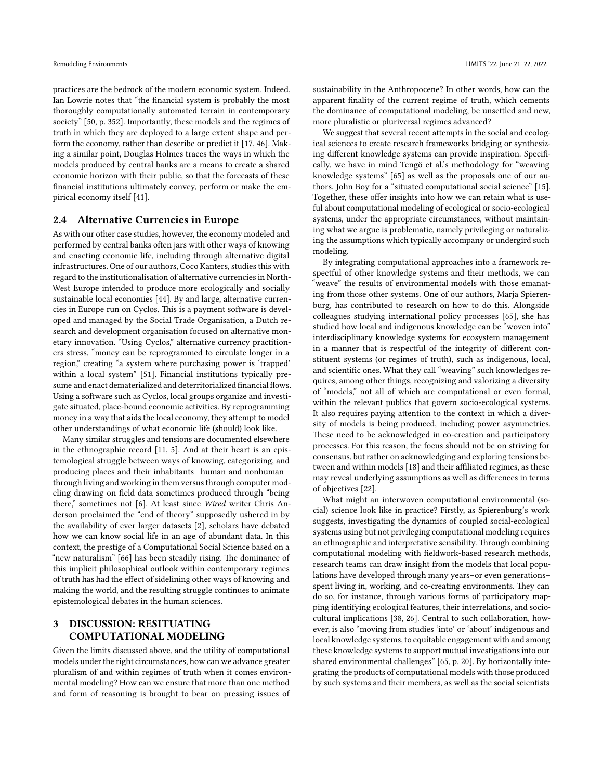practices are the bedrock of the modern economic system. Indeed, Ian Lowrie notes that "the financial system is probably the most thoroughly computationally automated terrain in contemporary society" [\[50,](#page-6-40) p. 352]. Importantly, these models and the regimes of truth in which they are deployed to a large extent shape and perform the economy, rather than describe or predict it [\[17,](#page-6-41) [46](#page-6-42)]. Making a similar point, Douglas Holmes traces the ways in which the models produced by central banks are a means to create a shared economic horizon with their public, so that the forecasts of these financial institutions ultimately convey, perform or make the empirical economy itself [\[41\]](#page-6-43).

#### **2.4 Alternative Currencies in Europe**

As with our other case studies, however, the economy modeled and performed by central banks often jars with other ways of knowing and enacting economic life, including through alternative digital infrastructures. One of our authors, Coco Kanters, studies this with regard to the institutionalisation of alternative currencies in North-West Europe intended to produce more ecologically and socially sustainable local economies[[44](#page-6-44)]. By and large, alternative currencies in Europe run on Cyclos. This is a payment software is developed and managed by the Social Trade Organisation, a Dutch research and development organisation focused on alternative monetary innovation. "Using Cyclos," alternative currency practitioners stress, "money can be reprogrammed to circulate longer in a region," creating "a system where purchasing power is 'trapped' within a local system"[[51\]](#page-6-45). Financial institutions typically presume and enact dematerialized and deterritorialized financial flows. Using a software such as Cyclos, local groups organize and investigate situated, place-bound economic activities. By reprogramming money in a way that aids the local economy, they attempt to model other understandings of what economic life (should) look like.

Many similar struggles and tensions are documented elsewhere in the ethnographic record [\[11,](#page-6-46) [5\]](#page-5-2). And at their heart is an epistemological struggle between ways of knowing, categorizing, and producing places and their inhabitants—human and nonhuman through living and working in them versus through computer modeling drawing on field data sometimes produced through "being there," sometimes not[[6\]](#page-6-47). At least since *Wired* writer Chris Anderson proclaimed the "end of theory" supposedly ushered in by the availability of ever larger datasets [\[2\]](#page-5-3), scholars have debated how we can know social life in an age of abundant data. In this context, the prestige of a Computational Social Science based on a "new naturalism"[[66\]](#page-7-5) has been steadily rising. The dominance of this implicit philosophical outlook within contemporary regimes of truth has had the effect of sidelining other ways of knowing and making the world, and the resulting struggle continues to animate epistemological debates in the human sciences.

# **3 DISCUSSION: RESITUATING COMPUTATIONAL MODELING**

Given the limits discussed above, and the utility of computational models under the right circumstances, how can we advance greater pluralism of and within regimes of truth when it comes environmental modeling? How can we ensure that more than one method and form of reasoning is brought to bear on pressing issues of

sustainability in the Anthropocene? In other words, how can the apparent finality of the current regime of truth, which cements the dominance of computational modeling, be unsettled and new, more pluralistic or pluriversal regimes advanced?

We suggest that several recent attempts in the social and ecological sciences to create research frameworks bridging or synthesizing different knowledge systems can provide inspiration. Specifically, we have in mind Tengö et al.'s methodology for "weaving knowledge systems" [\[65\]](#page-7-6) as well as the proposals one of our authors, John Boy for a "situated computational social science" [\[15](#page-6-48)]. Together, these offer insights into how we can retain what is useful about computational modeling of ecological or socio-ecological systems, under the appropriate circumstances, without maintaining what we argue is problematic, namely privileging or naturalizing the assumptions which typically accompany or undergird such modeling.

By integrating computational approaches into a framework respectful of other knowledge systems and their methods, we can "weave" the results of environmental models with those emanating from those other systems. One of our authors, Marja Spierenburg, has contributed to research on how to do this. Alongside colleagues studying international policy processes [\[65](#page-7-6)], she has studied how local and indigenous knowledge can be "woven into" interdisciplinary knowledge systems for ecosystem management in a manner that is respectful of the integrity of different constituent systems (or regimes of truth), such as indigenous, local, and scientific ones. What they call "weaving" such knowledges requires, among other things, recognizing and valorizing a diversity of "models," not all of which are computational or even formal, within the relevant publics that govern socio-ecological systems. It also requires paying attention to the context in which a diversity of models is being produced, including power asymmetries. These need to be acknowledged in co-creation and participatory processes. For this reason, the focus should not be on striving for consensus, but rather on acknowledging and exploring tensions between and within models[[18](#page-6-49)] and their affiliated regimes, as these may reveal underlying assumptions as well as differences in terms of objectives [\[22\]](#page-6-50).

What might an interwoven computational environmental (social) science look like in practice? Firstly, as Spierenburg's work suggests, investigating the dynamics of coupled social-ecological systems using but not privileging computational modeling requires an ethnographic and interpretative sensibility. Through combining computational modeling with fieldwork-based research methods, research teams can draw insight from the models that local populations have developed through many years–or even generations– spent living in, working, and co-creating environments. They can do so, for instance, through various forms of participatory mapping identifying ecological features, their interrelations, and sociocultural implications[[38](#page-6-51), [26\]](#page-6-19). Central to such collaboration, however, is also "moving from studies 'into' or 'about' indigenous and local knowledge systems, to equitable engagement with and among these knowledge systems to support mutual investigations into our shared environmental challenges" [\[65](#page-7-6), p. 20]. By horizontally integrating the products of computational models with those produced by such systems and their members, as well as the social scientists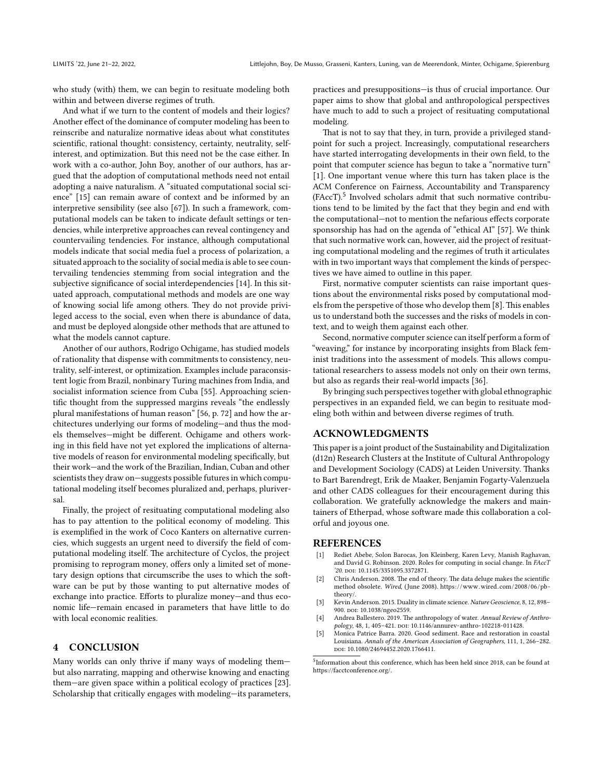who study (with) them, we can begin to resituate modeling both within and between diverse regimes of truth.

And what if we turn to the content of models and their logics? Another effect of the dominance of computer modeling has been to reinscribe and naturalize normative ideas about what constitutes scientific, rational thought: consistency, certainty, neutrality, selfinterest, and optimization. But this need not be the case either. In work with a co-author, John Boy, another of our authors, has argued that the adoption of computational methods need not entail adopting a naive naturalism. A "situated computational social science" [\[15\]](#page-6-48) can remain aware of context and be informed by an interpretive sensibility (see also[[67](#page-7-7)]). In such a framework, computational models can be taken to indicate default settings or tendencies, while interpretive approaches can reveal contingency and countervailing tendencies. For instance, although computational models indicate that social media fuel a process of polarization, a situated approach to the sociality of social media is able to see countervailing tendencies stemming from social integration and the subjective significance of social interdependencies[[14](#page-6-52)]. In this situated approach, computational methods and models are one way of knowing social life among others. They do not provide privileged access to the social, even when there is abundance of data, and must be deployed alongside other methods that are attuned to what the models cannot capture.

Another of our authors, Rodrigo Ochigame, has studied models of rationality that dispense with commitments to consistency, neutrality, self-interest, or optimization. Examples include paraconsistent logic from Brazil, nonbinary Turing machines from India, and socialist information science from Cuba [\[55](#page-6-53)]. Approaching scientific thought from the suppressed margins reveals "the endlessly plural manifestations of human reason" [\[56,](#page-6-0) p. 72] and how the architectures underlying our forms of modeling—and thus the models themselves—might be different. Ochigame and others working in this field have not yet explored the implications of alternative models of reason for environmental modeling specifically, but their work—and the work of the Brazilian, Indian, Cuban and other scientists they draw on—suggests possible futures in which computational modeling itself becomes pluralized and, perhaps, pluriversal.

Finally, the project of resituating computational modeling also has to pay attention to the political economy of modeling. This is exemplified in the work of Coco Kanters on alternative currencies, which suggests an urgent need to diversify the field of computational modeling itself. The architecture of Cyclos, the project promising to reprogram money, offers only a limited set of monetary design options that circumscribe the uses to which the software can be put by those wanting to put alternative modes of exchange into practice. Efforts to pluralize money—and thus economic life—remain encased in parameters that have little to do with local economic realities.

#### **4 CONCLUSION**

Many worlds can only thrive if many ways of modeling them but also narrating, mapping and otherwise knowing and enacting them—are given space within a political ecology of practices[[23](#page-6-54)]. Scholarship that critically engages with modeling—its parameters,

practices and presuppositions—is thus of crucial importance. Our paper aims to show that global and anthropological perspectives have much to add to such a project of resituating computational modeling.

That is not to say that they, in turn, provide a privileged standpoint for such a project. Increasingly, computational researchers have started interrogating developments in their own field, to the point that computer science has begun to take a "normative turn" [\[1](#page-5-4)]. One important venue where this turn has taken place is the ACM Conference on Fairness, Accountability and Transparency (FAccT).<sup>[5](#page-5-5)</sup> Involved scholars admit that such normative contributions tend to be limited by the fact that they begin and end with the computational—not to mention the nefarious effects corporate sponsorship has had on the agenda of "ethical AI" [\[57\]](#page-6-55). We think that such normative work can, however, aid the project of resituating computational modeling and the regimes of truth it articulates with in two important ways that complement the kinds of perspectives we have aimed to outline in this paper.

First, normative computer scientists can raise important questions about the environmental risks posed by computational models from the perspetive of those who develop them [\[8](#page-6-56)]. This enables us to understand both the successes and the risks of models in context, and to weigh them against each other.

Second, normative computer science can itself perform a form of "weaving," for instance by incorporating insights from Black feminist traditions into the assessment of models. This allows computational researchers to assess models not only on their own terms, but also as regards their real-world impacts [\[36](#page-6-57)].

By bringing such perspectives together with global ethnographic perspectives in an expanded field, we can begin to resituate modeling both within and between diverse regimes of truth.

## **ACKNOWLEDGMENTS**

This paper is a joint product of the Sustainability and Digitalization (d12n) Research Clusters at the Institute of Cultural Anthropology and Development Sociology (CADS) at Leiden University. Thanks to Bart Barendregt, Erik de Maaker, Benjamin Fogarty-Valenzuela and other CADS colleagues for their encouragement during this collaboration. We gratefully acknowledge the makers and maintainers of Etherpad, whose software made this collaboration a colorful and joyous one.

#### **REFERENCES**

- <span id="page-5-4"></span>[1] Rediet Abebe, Solon Barocas, Jon Kleinberg, Karen Levy, Manish Raghavan, and David G. Robinson. 2020. Roles for computing in social change. In *FAccT '20*. doi: [10.1145/3351095.3372871.](https://doi.org/10.1145/3351095.3372871)
- <span id="page-5-3"></span>[2] Chris Anderson. 2008. The end of theory. The data deluge makes the scientific method obsolete. *Wired*, (June 2008). [https://www.wired.com/2008/06/pb](https://www.wired.com/2008/06/pb-theory/)[theory/](https://www.wired.com/2008/06/pb-theory/).
- <span id="page-5-1"></span>[3] Kevin Anderson. 2015. Duality in climate science. *Nature Geoscience*, 8, 12, 898– 900. poi: [10.1038/ngeo2559.](https://doi.org/10.1038/ngeo2559)
- <span id="page-5-0"></span>[4] Andrea Ballestero. 2019. The anthropology of water. *Annual Review of Anthropology*, 48, 1, 405–421. doi: [10.1146/annurev-anthro-102218-011428.](https://doi.org/10.1146/annurev-anthro-102218-011428)
- <span id="page-5-2"></span>[5] Monica Patrice Barra. 2020. Good sediment. Race and restoration in coastal Louisiana. *Annals of the American Association of Geographers*, 111, 1, 266–282. doi: [10.1080/24694452.2020.1766411.](https://doi.org/10.1080/24694452.2020.1766411)

<span id="page-5-5"></span>5 Information about this conference, which has been held since 2018, can be found at [https://facctconference.org/.](https://facctconference.org/)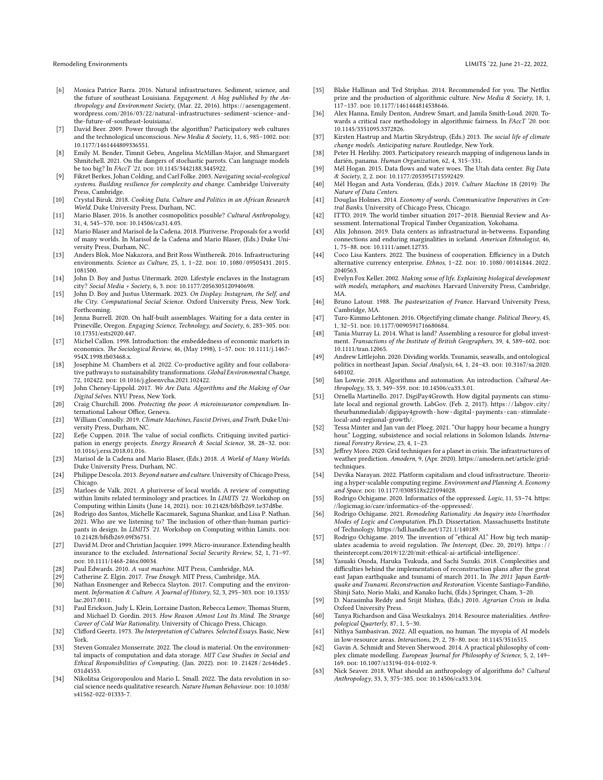- <span id="page-6-47"></span>[6] Monica Patrice Barra. 2016. Natural infrastructures. Sediment, science, and the future of southeast Louisiana. *Engagement. A blog published by the Anthropology and Environment Society*, (Mar. 22, 2016). [https://aesengagement.](https://aesengagement.wordpress.com/2016/03/22/natural-infrastructures-sediment-science-and-the-future-of-southeast-louisiana/) [wordpress.com/2016/03/22/natural-infrastructures- sediment- science- and](https://aesengagement.wordpress.com/2016/03/22/natural-infrastructures-sediment-science-and-the-future-of-southeast-louisiana/)[the-future-of-southeast-louisiana/.](https://aesengagement.wordpress.com/2016/03/22/natural-infrastructures-sediment-science-and-the-future-of-southeast-louisiana/)
- <span id="page-6-7"></span>[7] David Beer. 2009. Power through the algorithm? Participatory web cultures and the technological unconscious. *New Media & Society*, 11, 6, 985–1002. poi: [10.1177/1461444809336551](https://doi.org/10.1177/1461444809336551).
- <span id="page-6-56"></span>[8] Emily M. Bender, Timnit Gebru, Angelina McMillan-Major, and Shmargaret Shmitchell. 2021. On the dangers of stochastic parrots. Can language models be too big? In *FAccT* '21. poi: [10.1145/3442188.3445922](https://doi.org/10.1145/3442188.3445922).
- <span id="page-6-2"></span>[9] Fikret Berkes, Johan Colding, and Carl Folke. 2003. *Navigating social-ecological systems. Building resilience for complexity and change*. Cambridge University Press, Cambridge.
- <span id="page-6-39"></span>[10] Crystal Biruk. 2018. *Cooking Data. Culture and Politics in an African Research World*. Duke University Press, Durham, NC.
- <span id="page-6-46"></span>[11] Mario Blaser. 2016. Is another cosmopolitics possible? *Cultural Anthropology*, 31, 4, 545-570. doi: [10.14506/ca31.4.05](https://doi.org/10.14506/ca31.4.05).
- <span id="page-6-29"></span>[12] Mario Blaser and Marisol de la Cadena. 2018. Pluriverse. Proposals for a world of many worlds. In Marisol de la Cadena and Mario Blaser, (Eds.) Duke University Press, Durham, NC.
- <span id="page-6-16"></span>[13] Anders Blok, Moe Nakazora, and Brit Ross Winthereik. 2016. Infrastructuring environments. *Science as Culture*, 25, 1, 1-22. DOI: 10.1080/09505431.2015. [1081500.](https://doi.org/10.1080/09505431.2015.1081500)
- <span id="page-6-52"></span>[14] John D. Boy and Justus Uitermark. 2020. Lifestyle enclaves in the Instagram city? *Social Media + Society*, 6, 3. DOI: [10.1177/2056305120940698](https://doi.org/10.1177/2056305120940698).
- <span id="page-6-48"></span>[15] John D. Boy and Justus Uitermark. 2023. *On Display. Instagram, the Self, and the City*. *Computational Social Science*. Oxford University Press, New York. Forthcoming.
- <span id="page-6-27"></span>[16] Jenna Burrell. 2020. On half-built assemblages. Waiting for a data center in Prineville, Oregon. *Engaging Science, Technology, and Society*, 6, 283-305. DOI: [10.17351/ests2020.447.](https://doi.org/10.17351/ests2020.447)
- <span id="page-6-41"></span>[17] Michel Callon. 1998. Introduction: the embeddedness of economic markets in economics. *The Sociological Review*, 46, (May 1998), 1-57. DOI: [10.1111/j.1467-](https://doi.org/10.1111/j.1467-954X.1998.tb03468.x) [954X.1998.tb03468.x](https://doi.org/10.1111/j.1467-954X.1998.tb03468.x).
- <span id="page-6-49"></span>[18] Josephine M. Chambers et al. 2022. Co-productive agility and four collaborative pathways to sustainability transformations. *Global Environmental Change*, 72, 102422. doi: [10.1016/j.gloenvcha.2021.102422](https://doi.org/10.1016/j.gloenvcha.2021.102422).
- <span id="page-6-8"></span>[19] John Cheney-Lippold. 2017. *We Are Data. Algorithms and the Making of Our Digital Selves*. NYU Press, New York.
- <span id="page-6-36"></span>[20] Craig Churchill. 2006. *Protecting the poor. A microinsurance compendium*. International Labour Office, Geneva.
- <span id="page-6-15"></span>[21] William Connolly. 2019. *Climate Machines, Fascist Drives, and Truth*. Duke University Press, Durham, NC.
- <span id="page-6-50"></span>[22] Eefje Cuppen. 2018. The value of social conflicts. Critiquing invited participation in energy projects. *Energy Research & Social Science*, 38, 28-32. por: [10.1016/j.erss.2018.01.016.](https://doi.org/10.1016/j.erss.2018.01.016)
- <span id="page-6-54"></span>[23] Marisol de la Cadena and Mario Blaser, (Eds.) 2018. *A World of Many Worlds*. Duke University Press, Durham, NC.
- <span id="page-6-31"></span>[24] Philippe Descola. 2013. *Beyond nature and culture*. University of Chicago Press, Chicago.
- <span id="page-6-18"></span>[25] Marloes de Valk. 2021. A pluriverse of local worlds. A review of computing within limits related terminology and practices. In *LIMITS '21*. Workshop on Computing within Limits (June 14, 2021). DOI: [10.21428/bf6fb269.1e37d8be](https://doi.org/10.21428/bf6fb269.1e37d8be).
- <span id="page-6-19"></span>[26] Rodrigo dos Santos, Michelle Kaczmarek, Saguna Shankar, and Lisa P. Nathan. 2021. Who are we listening to? The inclusion of other-than-human participants in design. In *LIMITS* '21. Workshop on Computing within Limits. por: [10.21428/bf6fb269.09f36751](https://doi.org/10.21428/bf6fb269.09f36751).
- <span id="page-6-37"></span>[27] David M. Dror and Christian Jacquier. 1999. Micro-insurance. Extending health insurance to the excluded. *International Social Security Review*, 52, 1, 71–97. doi: [10.1111/1468-246x.00034.](https://doi.org/10.1111/1468-246x.00034)
- <span id="page-6-11"></span>[28] Paul Edwards. 2010. *A vast machine*. MIT Press, Cambridge, MA.
- <span id="page-6-20"></span>[29] Catherine Z. Elgin. 2017. *True Enough*. MIT Press, Cambridge, MA.
- <span id="page-6-28"></span>Nathan Ensmenger and Rebecca Slayton. 2017. Computing and the environment. *Information & Culture. A Journal of History*, 52, 3, 295-303. DOI: [10.1353/](https://doi.org/10.1353/lac.2017.0011) [lac.2017.0011](https://doi.org/10.1353/lac.2017.0011).
- <span id="page-6-1"></span>[31] Paul Erickson, Judy L. Klein, Lorraine Daston, Rebecca Lemov, Thomas Sturm, and Michael D. Gordin. 2013. *How Reason Almost Lost Its Mind. The Strange Career of Cold War Rationality*. University of Chicago Press, Chicago.
- <span id="page-6-10"></span>[32] Clifford Geertz. 1973. *The Interpretation of Cultures. Selected Essays*. Basic, New York.
- <span id="page-6-17"></span>[33] Steven Gonzalez Monserrate. 2022. The cloud is material. On the environmental impacts of computation and data storage. *MIT Case Studies in Social and Ethical Responsibilities of Computing*, (Jan. 2022). doi: [10 . 21428 / 2c646de5 .](https://doi.org/10.21428/2c646de5.031d4553) [031d4553](https://doi.org/10.21428/2c646de5.031d4553).
- <span id="page-6-5"></span>[34] Nikolitsa Grigoropoulou and Mario L. Small. 2022. The data revolution in social science needs qualitative research. *Nature Human Behaviour*. DOI: [10.1038/](https://doi.org/10.1038/s41562-022-01333-7) [s41562-022-01333-7.](https://doi.org/10.1038/s41562-022-01333-7)
- <span id="page-6-9"></span>[35] Blake Hallinan and Ted Striphas. 2014. Recommended for you. The Netflix prize and the production of algorithmic culture. *New Media & Society*, 18, 1, 117-137. poi: [10.1177/1461444814538646](https://doi.org/10.1177/1461444814538646).
- <span id="page-6-57"></span>[36] Alex Hanna, Emily Denton, Andrew Smart, and Jamila Smith-Loud. 2020. Towards a critical race methodology in algorithmic fairness. In *FAccT '20*. DOI: [10.1145/3351095.3372826.](https://doi.org/10.1145/3351095.3372826)
- <span id="page-6-12"></span>[37] Kirsten Hastrup and Martin Skrydstrup, (Eds.) 2013. *The social life of climate change models. Anticipating nature*. Routledge, New York.
- <span id="page-6-51"></span>[38] Peter H. Herlihy. 2003. Participatory research mapping of indigenous lands in darién, panama. *Human Organization*, 62, 4, 315–331.
- <span id="page-6-24"></span>[39] Mél Hogan. 2015. Data flows and water woes. The Utah data center. *Big Data & Society*, 2, 2. doi: [10.1177/2053951715592429](https://doi.org/10.1177/2053951715592429).
- <span id="page-6-25"></span>[40] Mél Hogan and Asta Vonderau, (Eds.) 2019. *Culture Machine* 18 (2019): *The Nature of Data Centers*.
- <span id="page-6-43"></span>[41] Douglas Holmes. 2014. *Economy of words. Communicative Imperatives in Central Banks*. University of Chicago Press, Chicago.
- <span id="page-6-33"></span>[42] ITTO. 2019. The world timber situation 2017–2018. Biennial Review and Assessment. International Tropical Timber Organization, Yokohama.
- <span id="page-6-26"></span>[43] Alix Johnson. 2019. Data centers as infrastructural in-betweens. Expanding connections and enduring marginalities in iceland. *American Ethnologist*, 46, 1, 75–88. doi: [10.1111/amet.12735](https://doi.org/10.1111/amet.12735).
- <span id="page-6-44"></span>[44] Coco Lisa Kanters. 2022. The business of cooperation. Efficiency in a Dutch alternative currency enterprise. *Ethnos*, 1-22. DOI: 10.1080/00141844.2022. [2040563](https://doi.org/10.1080/00141844.2022.2040563).
- <span id="page-6-4"></span>[45] Evelyn Fox Keller. 2002. *Making sense of life. Explaining biological development with models, metaphors, and machines*. Harvard University Press, Cambridge, MA.
- <span id="page-6-42"></span>[46] Bruno Latour. 1988. *The pasteurization of France*. Harvard University Press, Cambridge, MA.
- <span id="page-6-38"></span>[47] Turo-Kimmo Lehtonen. 2016. Objectifying climate change. *Political Theory*, 45, 1, 32–51. doi: [10.1177/0090591716680684](https://doi.org/10.1177/0090591716680684).
- <span id="page-6-13"></span>[48] Tania Murray Li. 2014. What is land? Assembling a resource for global investment. *Transactions of the Institute of British Geographers*, 39, 4, 589-602. poi: [10.1111/tran.12065](https://doi.org/10.1111/tran.12065).
- <span id="page-6-30"></span>[49] Andrew Littlejohn. 2020. Dividing worlds. Tsunamis, seawalls, and ontological politics in northeast Japan. *Social Analysis*, 64, 1, 24-43. DOI: [10.3167/sa.2020.](https://doi.org/10.3167/sa.2020.640102)  $640102$
- <span id="page-6-40"></span>[50] Ian Lowrie. 2018. Algorithms and automation. An introduction. *Cultural An-*thropology, 33, 3, 349-359. DOI: [10.14506/ca33.3.01.](https://doi.org/10.14506/ca33.3.01)
- <span id="page-6-45"></span>[51] Ornella Martinello. 2017. DigiPay4Growth. How digital payments can stimulate local and regional growth. LabGov. (Feb. 2, 2017). https://labgov.city/  $\,$ [theurbanmedialab / digipay4growth - how - digital - payments - can - stimulate](https://labgov.city/theurbanmedialab/digipay4growth-how-digital-payments-can-stimulate-local-and-regional-growth/)  [local-and-regional-growth/](https://labgov.city/theurbanmedialab/digipay4growth-how-digital-payments-can-stimulate-local-and-regional-growth/).
- <span id="page-6-34"></span>[52] Tessa Minter and Jan van der Ploeg. 2021. "Our happy hour became a hungry hour." Logging, subsistence and social relations in Solomon Islands. *International Forestry Review*, 23, 4, 1–23.
- <span id="page-6-22"></span>[53] Jeffrey Moro. 2020. Grid techniques for a planet in crisis. The infrastructures of weather prediction. *Amodern*, 9, (Apr. 2020). [https://amodern.net/article/grid](https://amodern.net/article/grid-techniques)[techniques](https://amodern.net/article/grid-techniques).
- <span id="page-6-23"></span>[54] Devika Narayan. 2022. Platform capitalism and cloud infrastructure. Theorizing a hyper-scalable computing regime. *Environment and Planning A. Economy* and Space. DOI: [10.1177/0308518x221094028](https://doi.org/10.1177/0308518x221094028).
- <span id="page-6-53"></span>[55] Rodrigo Ochigame. 2020. Informatics of the oppressed. *Logic*, 11, 53–74. [https:](https://logicmag.io/care/informatics-of-the-oppressed/) [//logicmag.io/care/informatics-of-the-oppressed/](https://logicmag.io/care/informatics-of-the-oppressed/).
- <span id="page-6-0"></span>[56] Rodrigo Ochigame. 2021. *Remodeling Rationality. An Inquiry into Unorthodox Modes of Logic and Computation*. Ph.D. Dissertation. Massachusetts Institute of Technology. [https://hdl.handle.net/1721.1/140189.](https://hdl.handle.net/1721.1/140189)
- <span id="page-6-55"></span>[57] Rodrigo Ochigame. 2019. The invention of "ethical AI." How big tech manipulates academia to avoid regulation. *The Intercept*, (Dec. 20, 2019). https:// [theintercept.com/2019/12/20/mit-ethical-ai-artificial-intelligence/.](https://theintercept.com/2019/12/20/mit-ethical-ai-artificial-intelligence/)
- <span id="page-6-32"></span>[58] Yasuaki Onoda, Haruka Tsukuda, and Sachi Suzuki. 2018. Complexities and difficulties behind the implementation of reconstruction plans after the great east Japan earthquake and tsunami of march 2011. In *The 2011 Japan Earthquake and Tsunami. Reconstruction and Restoration*. Vicente Santiago-Fandiño, Shinji Sato, Norio Maki, and Kanako Iuchi, (Eds.) Springer, Cham, 3–20.
- <span id="page-6-35"></span>[59] D. Narasimha Reddy and Srijit Mishra, (Eds.) 2010. *Agrarian Crisis in India*. Oxford University Press.
- <span id="page-6-14"></span>[60] Tanya Richardson and Gisa Weszkalnys. 2014. Resource materialities. *Anthropological Quarterly*, 87, 1, 5–30.
- <span id="page-6-3"></span>[61] Nithya Sambasivan. 2022. All equation, no human. The myopia of AI models in low-resource areas. *Interactions*, 29, 2, 78-80. DOI: [10.1145/3516515](https://doi.org/10.1145/3516515).
- <span id="page-6-21"></span>[62] Gavin A. Schmidt and Steven Sherwood. 2014. A practical philosophy of complex climate modelling. *European Journal for Philosophy of Science*, 5, 2, 149– 169. doi: [10.1007/s13194-014-0102-9](https://doi.org/10.1007/s13194-014-0102-9).
- <span id="page-6-6"></span>[63] Nick Seaver. 2018. What should an anthropology of algorithms do? *Cultural* Anthropology, 33, 3, 375-385. DOI: [10.14506/ca33.3.04](https://doi.org/10.14506/ca33.3.04).